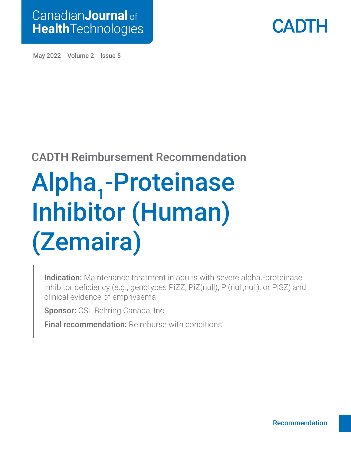



May 2022 Volume 2 Issue 5

### CADTH Reimbursement Recommendation

# Alpha<sub>1</sub>-Proteinase Inhibitor (Human) (Zemaira)

Indication: Maintenance treatment in adults with severe alpha<sub>1</sub>-proteinase inhibitor deficiency (e.g., genotypes PiZZ, PiZ(null), Pi(null,null), or PiSZ) and clinical evidence of emphysema

Sponsor: CSL Behring Canada, Inc.

**Final recommendation: Reimburse with conditions**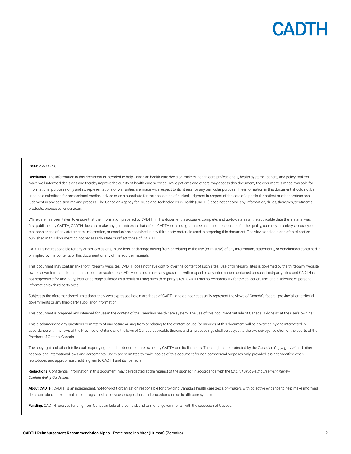

#### ISSN: 2563-6596

Disclaimer: The information in this document is intended to help Canadian health care decision-makers, health care professionals, health systems leaders, and policy-makers make well-informed decisions and thereby improve the quality of health care services. While patients and others may access this document, the document is made available for informational purposes only and no representations or warranties are made with respect to its fitness for any particular purpose. The information in this document should not be used as a substitute for professional medical advice or as a substitute for the application of clinical judgment in respect of the care of a particular patient or other professional judgment in any decision-making process. The Canadian Agency for Drugs and Technologies in Health (CADTH) does not endorse any information, drugs, therapies, treatments, products, processes, or services.

While care has been taken to ensure that the information prepared by CADTH in this document is accurate, complete, and up-to-date as at the applicable date the material was first published by CADTH, CADTH does not make any quarantees to that effect. CADTH does not quarantee and is not responsible for the quality, currency, propriety, accuracy, or reasonableness of any statements, information, or conclusions contained in any third-party materials used in preparing this document. The views and opinions of third parties published in this document do not necessarily state or reflect those of CADTH.

CADTH is not responsible for any errors, omissions, injury, loss, or damage arising from or relating to the use (or misuse) of any information, statements, or conclusions contained in or implied by the contents of this document or any of the source materials.

This document may contain links to third-party websites. CADTH does not have control over the content of such sites. Use of third-party sites is governed by the third-party website owners' own terms and conditions set out for such sites. CADTH does not make any guarantee with respect to any information contained on such third-party sites and CADTH is not responsible for any injury, loss, or damage suffered as a result of using such third-party sites. CADTH has no responsibility for the collection, use, and disclosure of personal information by third-party sites.

Subject to the aforementioned limitations, the views expressed herein are those of CADTH and do not necessarily represent the views of Canada's federal, provincial, or territorial governments or any third-party supplier of information.

This document is prepared and intended for use in the context of the Canadian health care system. The use of this document outside of Canada is done so at the user's own risk.

This disclaimer and any questions or matters of any nature arising from or relating to the content or use (or misuse) of this document will be governed by and interpreted in accordance with the laws of the Province of Ontario and the laws of Canada applicable therein, and all proceedings shall be subject to the exclusive jurisdiction of the courts of the Province of Ontario, Canada.

The copyright and other intellectual property rights in this document are owned by CADTH and its licensors. These rights are protected by the Canadian *Copyright Act* and other national and international laws and agreements. Users are permitted to make copies of this document for non-commercial purposes only, provided it is not modified when reproduced and appropriate credit is given to CADTH and its licensors.

Redactions: Confidential information in this document may be redacted at the request of the sponsor in accordance with the *CADTH Drug Reimbursement Review Confidentiality Guidelines.*

About CADTH: CADTH is an independent, not-for-profit organization responsible for providing Canada's health care decision-makers with objective evidence to help make informed decisions about the optimal use of drugs, medical devices, diagnostics, and procedures in our health care system.

Funding: CADTH receives funding from Canada's federal, provincial, and territorial governments, with the exception of Quebec.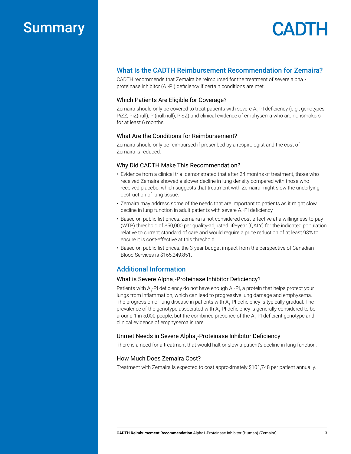### Summary

# **CADTH**

### What Is the CADTH Reimbursement Recommendation for Zemaira?

CADTH recommends that Zemaira be reimbursed for the treatment of severe alpha<sub>1</sub>proteinase inhibitor (A<sub>1</sub>-PI) deficiency if certain conditions are met.

#### Which Patients Are Eligible for Coverage?

Zemaira should only be covered to treat patients with severe  $\mathsf{A}_\mathsf{i}\text{-}\mathsf{Pl}$  deficiency (e.g., genotypes PiZZ, PiZ(null), Pi(null,null), PiSZ) and clinical evidence of emphysema who are nonsmokers for at least 6 months.

#### What Are the Conditions for Reimbursement?

Zemaira should only be reimbursed if prescribed by a respirologist and the cost of Zemaira is reduced.

#### Why Did CADTH Make This Recommendation?

- Evidence from a clinical trial demonstrated that after 24 months of treatment, those who received Zemaira showed a slower decline in lung density compared with those who received placebo, which suggests that treatment with Zemaira might slow the underlying destruction of lung tissue.
- Zemaira may address some of the needs that are important to patients as it might slow decline in lung function in adult patients with severe  ${\sf A}_{_{\rm I}}$ -PI deficiency.
- Based on public list prices, Zemaira is not considered cost-effective at a willingness-to-pay (WTP) threshold of \$50,000 per quality-adjusted life-year (QALY) for the indicated population relative to current standard of care and would require a price reduction of at least 93% to ensure it is cost-effective at this threshold.
- Based on public list prices, the 3-year budget impact from the perspective of Canadian Blood Services is \$165,249,851.

### Additional Information

### What is Severe Alpha<sub>1</sub>-Proteinase Inhibitor Deficiency?

Patients with A<sub>1</sub>-PI deficiency do not have enough A<sub>1</sub>-PI, a protein that helps protect your lungs from inflammation, which can lead to progressive lung damage and emphysema. The progression of lung disease in patients with A<sub>1</sub>-PI deficiency is typically gradual. The prevalence of the genotype associated with A<sub>1</sub>-PI deficiency is generally considered to be around 1 in 5,000 people, but the combined presence of the A<sub>1</sub>-PI deficient genotype and clinical evidence of emphysema is rare.

### Unmet Needs in Severe Alpha<sub>1</sub>-Proteinase Inhibitor Deficiency

There is a need for a treatment that would halt or slow a patient's decline in lung function.

#### How Much Does Zemaira Cost?

Treatment with Zemaira is expected to cost approximately \$101,748 per patient annually.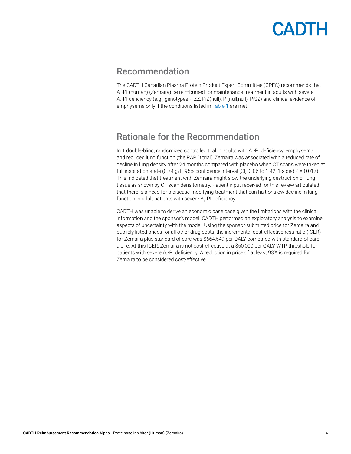### <span id="page-3-0"></span>Recommendation

The CADTH Canadian Plasma Protein Product Expert Committee (CPEC) recommends that A<sub>1</sub>-PI (human) (Zemaira) be reimbursed for maintenance treatment in adults with severe A<sub>1</sub>-PI deficiency (e.g., genotypes PiZZ, PiZ(null), Pi(null,null), PiSZ) and clinical evidence of emphysema only if the conditions listed in **[Table 1](#page-4-0)** are met.

### Rationale for the Recommendation

In 1 double-blind, randomized controlled trial in adults with A<sub>1</sub>-PI deficiency, emphysema, and reduced lung function (the RAPID trial), Zemaira was associated with a reduced rate of decline in lung density after 24 months compared with placebo when CT scans were taken at full inspiration state  $(0.74 \text{ g/L}; 95\%$  confidence interval [CI], 0.06 to 1.42; 1-sided P = 0.017). This indicated that treatment with Zemaira might slow the underlying destruction of lung tissue as shown by CT scan densitometry. Patient input received for this review articulated that there is a need for a disease-modifying treatment that can halt or slow decline in lung function in adult patients with severe  $\mathsf{A}_\mathsf{1}\text{-}\mathsf{PI}$  deficiency.

CADTH was unable to derive an economic base case given the limitations with the clinical information and the sponsor's model. CADTH performed an exploratory analysis to examine aspects of uncertainty with the model. Using the sponsor-submitted price for Zemaira and publicly listed prices for all other drug costs, the incremental cost-effectiveness ratio (ICER) for Zemaira plus standard of care was \$664,549 per QALY compared with standard of care alone. At this ICER, Zemaira is not cost-effective at a \$50,000 per QALY WTP threshold for patients with severe A<sub>1</sub>-PI deficiency. A reduction in price of at least 93% is required for Zemaira to be considered cost-effective.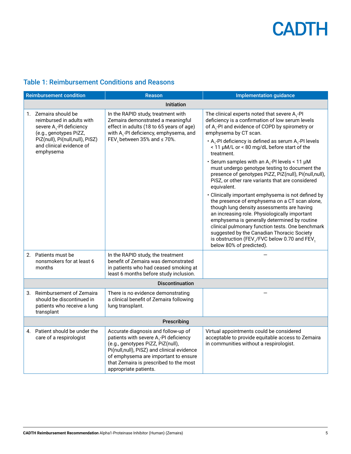

### <span id="page-4-0"></span>Table 1: Reimbursement Conditions and Reasons

|    | <b>Reimbursement condition</b>                                                                                                                                                                  | <b>Reason</b>                                                                                                                                                                                                                                                                           | <b>Implementation guidance</b>                                                                                                                                                                                                                                                                                                                                                                                                                                                                                                                                                                                                                                                                                                                                                                                                                                                                                                                                                                                                                               |
|----|-------------------------------------------------------------------------------------------------------------------------------------------------------------------------------------------------|-----------------------------------------------------------------------------------------------------------------------------------------------------------------------------------------------------------------------------------------------------------------------------------------|--------------------------------------------------------------------------------------------------------------------------------------------------------------------------------------------------------------------------------------------------------------------------------------------------------------------------------------------------------------------------------------------------------------------------------------------------------------------------------------------------------------------------------------------------------------------------------------------------------------------------------------------------------------------------------------------------------------------------------------------------------------------------------------------------------------------------------------------------------------------------------------------------------------------------------------------------------------------------------------------------------------------------------------------------------------|
|    | <b>Initiation</b>                                                                                                                                                                               |                                                                                                                                                                                                                                                                                         |                                                                                                                                                                                                                                                                                                                                                                                                                                                                                                                                                                                                                                                                                                                                                                                                                                                                                                                                                                                                                                                              |
|    | 1. Zemaira should be<br>reimbursed in adults with<br>severe A <sub>1</sub> -PI deficiency<br>(e.g., genotypes PiZZ,<br>PiZ(null), Pi(null,null), PiSZ)<br>and clinical evidence of<br>emphysema | In the RAPID study, treatment with<br>Zemaira demonstrated a meaningful<br>effect in adults (18 to 65 years of age)<br>with A <sub>1</sub> -PI deficiency, emphysema, and<br>FEV, between 35% and $\leq$ 70%.                                                                           | The clinical experts noted that severe $A_1$ -PI<br>deficiency is a confirmation of low serum levels<br>of A <sub>1</sub> -PI and evidence of COPD by spirometry or<br>emphysema by CT scan.<br>$\cdot$ A <sub>1</sub> -PI deficiency is defined as serum A <sub>1</sub> -PI levels<br>< 11 µM/L or < 80 mg/dL before start of the<br>treatment.<br>• Serum samples with an A <sub>1</sub> -PI levels < 11 $\mu$ M<br>must undergo genotype testing to document the<br>presence of genotypes PiZZ, PiZ(null), Pi(null,null),<br>PiSZ, or other rare variants that are considered<br>equivalent.<br>• Clinically important emphysema is not defined by<br>the presence of emphysema on a CT scan alone,<br>though lung density assessments are having<br>an increasing role. Physiologically important<br>emphysema is generally determined by routine<br>clinical pulmonary function tests. One benchmark<br>suggested by the Canadian Thoracic Society<br>is obstruction (FEV <sub>1</sub> /FVC below 0.70 and FEV <sub>1</sub><br>below 80% of predicted). |
|    | 2. Patients must be<br>nonsmokers for at least 6<br>months                                                                                                                                      | In the RAPID study, the treatment<br>benefit of Zemaira was demonstrated<br>in patients who had ceased smoking at<br>least 6 months before study inclusion.                                                                                                                             |                                                                                                                                                                                                                                                                                                                                                                                                                                                                                                                                                                                                                                                                                                                                                                                                                                                                                                                                                                                                                                                              |
|    |                                                                                                                                                                                                 | <b>Discontinuation</b>                                                                                                                                                                                                                                                                  |                                                                                                                                                                                                                                                                                                                                                                                                                                                                                                                                                                                                                                                                                                                                                                                                                                                                                                                                                                                                                                                              |
| 3. | Reimbursement of Zemaira<br>should be discontinued in<br>patients who receive a lung<br>transplant                                                                                              | There is no evidence demonstrating<br>a clinical benefit of Zemaira following<br>lung transplant.                                                                                                                                                                                       |                                                                                                                                                                                                                                                                                                                                                                                                                                                                                                                                                                                                                                                                                                                                                                                                                                                                                                                                                                                                                                                              |
|    | Prescribing                                                                                                                                                                                     |                                                                                                                                                                                                                                                                                         |                                                                                                                                                                                                                                                                                                                                                                                                                                                                                                                                                                                                                                                                                                                                                                                                                                                                                                                                                                                                                                                              |
|    | 4. Patient should be under the<br>care of a respirologist                                                                                                                                       | Accurate diagnosis and follow-up of<br>patients with severe A <sub>1</sub> -PI deficiency<br>(e.g., genotypes PiZZ, PiZ(null),<br>Pi(null,null), PiSZ) and clinical evidence<br>of emphysema are important to ensure<br>that Zemaira is prescribed to the most<br>appropriate patients. | Virtual appointments could be considered<br>acceptable to provide equitable access to Zemaira<br>in communities without a respirologist.                                                                                                                                                                                                                                                                                                                                                                                                                                                                                                                                                                                                                                                                                                                                                                                                                                                                                                                     |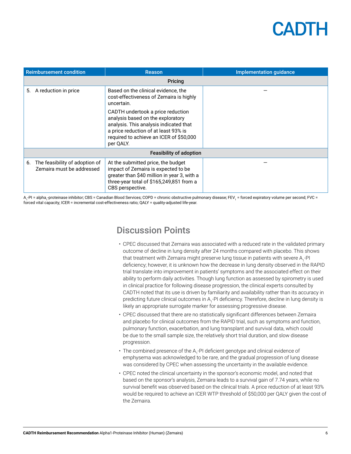|    | <b>Reimbursement condition</b>                              | <b>Reason</b>                                                                                                                                                                                                    | Implementation guidance |
|----|-------------------------------------------------------------|------------------------------------------------------------------------------------------------------------------------------------------------------------------------------------------------------------------|-------------------------|
|    | Pricing                                                     |                                                                                                                                                                                                                  |                         |
| 5. | A reduction in price                                        | Based on the clinical evidence, the<br>cost-effectiveness of Zemaira is highly<br>uncertain.                                                                                                                     |                         |
|    |                                                             | CADTH undertook a price reduction<br>analysis based on the exploratory<br>analysis. This analysis indicated that<br>a price reduction of at least 93% is<br>required to achieve an ICER of \$50,000<br>per QALY. |                         |
|    | <b>Feasibility of adoption</b>                              |                                                                                                                                                                                                                  |                         |
| 6. | The feasibility of adoption of<br>Zemaira must be addressed | At the submitted price, the budget<br>impact of Zemaira is expected to be<br>greater than \$40 million in year 3, with a<br>three-year total of \$165,249,851 from a<br>CBS perspective.                         |                         |

A<sub>1</sub>-PI = alpha<sub>1</sub>-proteinase inhibitor; CBS = Canadian Blood Services; COPD = chronic obstructive pulmonary disease; FEV<sub>1</sub> = forced expiratory volume per second; FVC = forced vital capacity; ICER = incremental cost-effectiveness ratio; QALY = quality-adjusted life-year.

### Discussion Points

- CPEC discussed that Zemaira was associated with a reduced rate in the validated primary outcome of decline in lung density after 24 months compared with placebo. This shows that treatment with Zemaira might preserve lung tissue in patients with severe A<sub>1</sub>-PI deficiency; however, it is unknown how the decrease in lung density observed in the RAPID trial translate into improvement in patients' symptoms and the associated effect on their ability to perform daily activities. Though lung function as assessed by spirometry is used in clinical practice for following disease progression, the clinical experts consulted by CADTH noted that its use is driven by familiarity and availability rather than its accuracy in predicting future clinical outcomes in A<sub>1</sub>-PI deficiency. Therefore, decline in lung density is likely an appropriate surrogate marker for assessing progressive disease.
- CPEC discussed that there are no statistically significant differences between Zemaira and placebo for clinical outcomes from the RAPID trial, such as symptoms and function, pulmonary function, exacerbation, and lung transplant and survival data, which could be due to the small sample size, the relatively short trial duration, and slow disease progression.
- $\bm{\cdot}$  The combined presence of the A<sub>1</sub>-PI deficient genotype and clinical evidence of emphysema was acknowledged to be rare, and the gradual progression of lung disease was considered by CPEC when assessing the uncertainty in the available evidence.
- CPEC noted the clinical uncertainty in the sponsor's economic model, and noted that based on the sponsor's analysis, Zemaira leads to a survival gain of 7.74 years, while no survival benefit was observed based on the clinical trials. A price reduction of at least 93% would be required to achieve an ICER WTP threshold of \$50,000 per QALY given the cost of the Zemaira.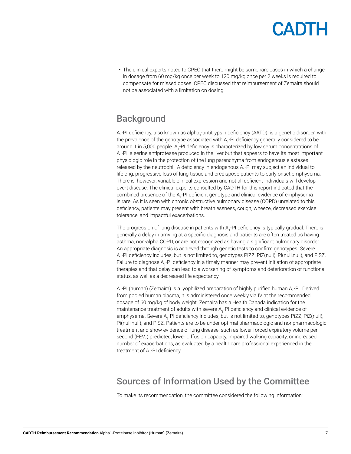• The clinical experts noted to CPEC that there might be some rare cases in which a change in dosage from 60 mg/kg once per week to 120 mg/kg once per 2 weeks is required to compensate for missed doses. CPEC discussed that reimbursement of Zemaira should not be associated with a limitation on dosing.

### **Background**

A<sub>1</sub>-PI deficiency, also known as alpha<sub>1</sub>-antitrypsin deficiency (AATD), is a genetic disorder, with the prevalence of the genotype associated with A<sub>1</sub>-PI deficiency generally considered to be around 1 in 5,000 people. A<sub>1</sub>-PI deficiency is characterized by low serum concentrations of A<sub>1</sub>-PI, a serine antiprotease produced in the liver but that appears to have its most important physiologic role in the protection of the lung parenchyma from endogenous elastases released by the neutrophil. A deficiency in endogenous  ${\sf A}_{\sf i}$ -PI may subject an individual to lifelong, progressive loss of lung tissue and predispose patients to early onset emphysema. There is, however, variable clinical expression and not all deficient individuals will develop overt disease. The clinical experts consulted by CADTH for this report indicated that the combined presence of the A<sub>1</sub>-PI deficient genotype and clinical evidence of emphysema is rare. As it is seen with chronic obstructive pulmonary disease (COPD) unrelated to this deficiency, patients may present with breathlessness, cough, wheeze, decreased exercise tolerance, and impactful exacerbations.

The progression of lung disease in patients with A<sub>1</sub>-PI deficiency is typically gradual. There is generally a delay in arriving at a specific diagnosis and patients are often treated as having asthma, non-alpha COPD, or are not recognized as having a significant pulmonary disorder. An appropriate diagnosis is achieved through genetic tests to confirm genotypes. Severe A<sub>1</sub>-PI deficiency includes, but is not limited to, genotypes PiZZ, PiZ(null), Pi(null,null), and PiSZ. Failure to diagnose A<sub>1</sub>-PI deficiency in a timely manner may prevent initiation of appropriate therapies and that delay can lead to a worsening of symptoms and deterioration of functional status, as well as a decreased life expectancy.

A<sub>1</sub>-PI (human) (Zemaira) is a lyophilized preparation of highly purified human A<sub>1</sub>-PI. Derived from pooled human plasma, it is administered once weekly via IV at the recommended dosage of 60 mg/kg of body weight. Zemaira has a Health Canada indication for the maintenance treatment of adults with severe A<sub>1</sub>-PI deficiency and clinical evidence of emphysema. Severe A<sub>1</sub>-PI deficiency includes, but is not limited to, genotypes PiZZ, PiZ(null), Pi(null,null), and PiSZ. Patients are to be under optimal pharmacologic and nonpharmacologic treatment and show evidence of lung disease, such as lower forced expiratory volume per second (FEV<sub>1</sub>) predicted, lower diffusion capacity, impaired walking capacity, or increased number of exacerbations, as evaluated by a health care professional experienced in the treatment of A<sub>1</sub>-PI deficiency.

### Sources of Information Used by the Committee

To make its recommendation, the committee considered the following information: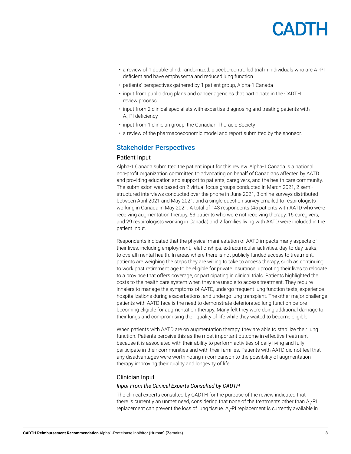

- a review of 1 double-blind, randomized, placebo-controlled trial in individuals who are  $A_1$ -PI deficient and have emphysema and reduced lung function
- patients' perspectives gathered by 1 patient group, Alpha-1 Canada
- input from public drug plans and cancer agencies that participate in the CADTH review process
- input from 2 clinical specialists with expertise diagnosing and treating patients with A<sub>1</sub>-PI deficiency
- input from 1 clinician group, the Canadian Thoracic Society
- a review of the pharmacoeconomic model and report submitted by the sponsor.

### Stakeholder Perspectives

#### Patient Input

Alpha-1 Canada submitted the patient input for this review. Alpha-1 Canada is a national non-profit organization committed to advocating on behalf of Canadians affected by AATD and providing education and support to patients, caregivers, and the health care community. The submission was based on 2 virtual focus groups conducted in March 2021, 2 semistructured interviews conducted over the phone in June 2021, 3 online surveys distributed between April 2021 and May 2021, and a single question survey emailed to respirologists working in Canada in May 2021. A total of 143 respondents (45 patients with AATD who were receiving augmentation therapy, 53 patients who were not receiving therapy, 16 caregivers, and 29 respirologists working in Canada) and 2 families living with AATD were included in the patient input.

Respondents indicated that the physical manifestation of AATD impacts many aspects of their lives, including employment, relationships, extracurricular activities, day-to-day tasks, to overall mental health. In areas where there is not publicly funded access to treatment, patients are weighing the steps they are willing to take to access therapy, such as continuing to work past retirement age to be eligible for private insurance, uprooting their lives to relocate to a province that offers coverage, or participating in clinical trials. Patients highlighted the costs to the health care system when they are unable to access treatment. They require inhalers to manage the symptoms of AATD, undergo frequent lung function tests, experience hospitalizations during exacerbations, and undergo lung transplant. The other major challenge patients with AATD face is the need to demonstrate deteriorated lung function before becoming eligible for augmentation therapy. Many felt they were doing additional damage to their lungs and compromising their quality of life while they waited to become eligible.

When patients with AATD are on augmentation therapy, they are able to stabilize their lung function. Patients perceive this as the most important outcome in effective treatment because it is associated with their ability to perform activities of daily living and fully participate in their communities and with their families. Patients with AATD did not feel that any disadvantages were worth noting in comparison to the possibility of augmentation therapy improving their quality and longevity of life.

#### Clinician Input

#### *Input From the Clinical Experts Consulted by CADTH*

The clinical experts consulted by CADTH for the purpose of the review indicated that there is currently an unmet need, considering that none of the treatments other than  ${\sf A_{1}}$ -PI replacement can prevent the loss of lung tissue. A<sub>1</sub>-PI replacement is currently available in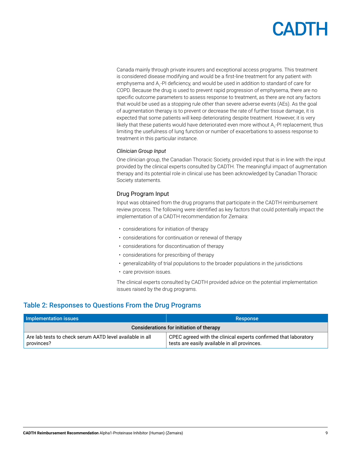# CADIL

Canada mainly through private insurers and exceptional access programs. This treatment is considered disease modifying and would be a first-line treatment for any patient with emphysema and A<sub>1</sub>-PI deficiency, and would be used in addition to standard of care for COPD. Because the drug is used to prevent rapid progression of emphysema, there are no specific outcome parameters to assess response to treatment, as there are not any factors that would be used as a stopping rule other than severe adverse events (AEs). As the goal of augmentation therapy is to prevent or decrease the rate of further tissue damage, it is expected that some patients will keep deteriorating despite treatment. However, it is very likely that these patients would have deteriorated even more without  $\mathsf{A_{1}}\text{-}\mathsf{PI}$  replacement, thus limiting the usefulness of lung function or number of exacerbations to assess response to treatment in this particular instance.

#### *Clinician Group Input*

One clinician group, the Canadian Thoracic Society, provided input that is in line with the input provided by the clinical experts consulted by CADTH. The meaningful impact of augmentation therapy and its potential role in clinical use has been acknowledged by Canadian Thoracic Society statements.

### Drug Program Input

Input was obtained from the drug programs that participate in the CADTH reimbursement review process. The following were identified as key factors that could potentially impact the implementation of a CADTH recommendation for Zemaira:

- considerations for initiation of therapy
- considerations for continuation or renewal of therapy
- considerations for discontinuation of therapy
- considerations for prescribing of therapy
- generalizability of trial populations to the broader populations in the jurisdictions
- care provision issues.

The clinical experts consulted by CADTH provided advice on the potential implementation issues raised by the drug programs.

### Table 2: Responses to Questions From the Drug Programs

| Implementation issues                                                  | <b>Response</b>                                                                                                 |
|------------------------------------------------------------------------|-----------------------------------------------------------------------------------------------------------------|
| Considerations for initiation of therapy                               |                                                                                                                 |
| Are lab tests to check serum AATD level available in all<br>provinces? | CPEC agreed with the clinical experts confirmed that laboratory<br>tests are easily available in all provinces. |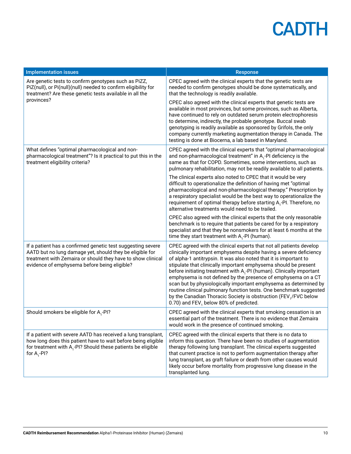| <b>Implementation issues</b>                                                                                                                                                                                                           | <b>Response</b>                                                                                                                                                                                                                                                                                                                                                                                                                                                                                                                                                                                                                                                                                            |
|----------------------------------------------------------------------------------------------------------------------------------------------------------------------------------------------------------------------------------------|------------------------------------------------------------------------------------------------------------------------------------------------------------------------------------------------------------------------------------------------------------------------------------------------------------------------------------------------------------------------------------------------------------------------------------------------------------------------------------------------------------------------------------------------------------------------------------------------------------------------------------------------------------------------------------------------------------|
| Are genetic tests to confirm genotypes such as PiZZ,<br>PiZ(null), or Pi(null)(null) needed to confirm eligibility for<br>treatment? Are these genetic tests available in all the                                                      | CPEC agreed with the clinical experts that the genetic tests are<br>needed to confirm genotypes should be done systematically, and<br>that the technology is readily available.                                                                                                                                                                                                                                                                                                                                                                                                                                                                                                                            |
| provinces?                                                                                                                                                                                                                             | CPEC also agreed with the clinical experts that genetic tests are<br>available in most provinces, but some provinces, such as Alberta,<br>have continued to rely on outdated serum protein electrophoresis<br>to determine, indirectly, the probable genotype. Buccal swab<br>genotyping is readily available as sponsored by Grifols, the only<br>company currently marketing augmentation therapy in Canada. The<br>testing is done at Biocerna, a lab based in Maryland.                                                                                                                                                                                                                                |
| What defines "optimal pharmacological and non-<br>pharmacological treatment"? Is it practical to put this in the<br>treatment eligibility criteria?                                                                                    | CPEC agreed with the clinical experts that "optimal pharmacological<br>and non-pharmacological treatment" in $A_1$ -PI deficiency is the<br>same as that for COPD. Sometimes, some interventions, such as<br>pulmonary rehabilitation, may not be readily available to all patients.                                                                                                                                                                                                                                                                                                                                                                                                                       |
|                                                                                                                                                                                                                                        | The clinical experts also noted to CPEC that it would be very<br>difficult to operationalize the definition of having met "optimal<br>pharmacological and non-pharmacological therapy." Prescription by<br>a respiratory specialist would be the best way to operationalize the<br>requirement of optimal therapy before starting A <sub>1</sub> -PI. Therefore, no<br>alternative treatments would need to be trailed.                                                                                                                                                                                                                                                                                    |
|                                                                                                                                                                                                                                        | CPEC also agreed with the clinical experts that the only reasonable<br>benchmark is to require that patients be cared for by a respiratory<br>specialist and that they be nonsmokers for at least 6 months at the<br>time they start treatment with $A_1$ -PI (human).                                                                                                                                                                                                                                                                                                                                                                                                                                     |
| If a patient has a confirmed genetic test suggesting severe<br>AATD but no lung damage yet, should they be eligible for<br>treatment with Zemaira or should they have to show clinical<br>evidence of emphysema before being eligible? | CPEC agreed with the clinical experts that not all patients develop<br>clinically important emphysema despite having a severe deficiency<br>of alpha-1 antitrypsin. It was also noted that it is important to<br>stipulate that clinically important emphysema should be present<br>before initiating treatment with A <sub>1</sub> -PI (human). Clinically important<br>emphysema is not defined by the presence of emphysema on a CT<br>scan but by physiologically important emphysema as determined by<br>routine clinical pulmonary function tests. One benchmark suggested<br>by the Canadian Thoracic Society is obstruction (FEV <sub>1</sub> /FVC below<br>0.70) and FEV, below 80% of predicted. |
| Should smokers be eligible for A <sub>1</sub> -PI?                                                                                                                                                                                     | CPEC agreed with the clinical experts that smoking cessation is an<br>essential part of the treatment. There is no evidence that Zemaira<br>would work in the presence of continued smoking.                                                                                                                                                                                                                                                                                                                                                                                                                                                                                                               |
| If a patient with severe AATD has received a lung transplant,<br>how long does this patient have to wait before being eligible<br>for treatment with $A_1$ -PI? Should these patients be eligible<br>for $A_1$ -PI?                    | CPEC agreed with the clinical experts that there is no data to<br>inform this question. There have been no studies of augmentation<br>therapy following lung transplant. The clinical experts suggested<br>that current practice is not to perform augmentation therapy after<br>lung transplant, as graft failure or death from other causes would<br>likely occur before mortality from progressive lung disease in the<br>transplanted lung.                                                                                                                                                                                                                                                            |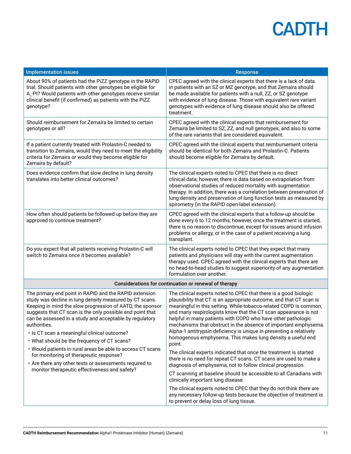| <b>Implementation issues</b>                                                                                                                                                                                                                                                                                                                                                                                                                                                                                                                                                                                                             | <b>Response</b>                                                                                                                                                                                                                                                                                                                                                                                                                                                                                                                                                                                                                                                                                                                                                            |  |
|------------------------------------------------------------------------------------------------------------------------------------------------------------------------------------------------------------------------------------------------------------------------------------------------------------------------------------------------------------------------------------------------------------------------------------------------------------------------------------------------------------------------------------------------------------------------------------------------------------------------------------------|----------------------------------------------------------------------------------------------------------------------------------------------------------------------------------------------------------------------------------------------------------------------------------------------------------------------------------------------------------------------------------------------------------------------------------------------------------------------------------------------------------------------------------------------------------------------------------------------------------------------------------------------------------------------------------------------------------------------------------------------------------------------------|--|
| About 90% of patients had the PiZZ genotype in the RAPID<br>trial. Should patients with other genotypes be eligible for<br>A <sub>1</sub> -PI? Would patients with other genotypes receive similar<br>clinical benefit (if confirmed) as patients with the PiZZ<br>genotype?                                                                                                                                                                                                                                                                                                                                                             | CPEC agreed with the clinical experts that there is a lack of data<br>in patients with an SZ or MZ genotype, and that Zemaira should<br>be made available for patients with a null, ZZ, or SZ genotype<br>with evidence of lung disease. Those with equivalent rare variant<br>genotypes with evidence of lung disease should also be offered<br>treatment.                                                                                                                                                                                                                                                                                                                                                                                                                |  |
| Should reimbursement for Zemaira be limited to certain<br>genotypes or all?                                                                                                                                                                                                                                                                                                                                                                                                                                                                                                                                                              | CPEC agreed with the clinical experts that reimbursement for<br>Zemaira be limited to SZ, ZZ, and null genotypes, and also to some<br>of the rare variants that are considered equivalent.                                                                                                                                                                                                                                                                                                                                                                                                                                                                                                                                                                                 |  |
| If a patient currently treated with Prolastin-C needed to<br>transition to Zemaira, would they need to meet the eligibility<br>criteria for Zemaira or would they become eligible for<br>Zemaira by default?                                                                                                                                                                                                                                                                                                                                                                                                                             | CPEC agreed with the clinical experts that reimbursement criteria<br>should be identical for both Zemaira and Prolastin-C. Patients<br>should become eligible for Zemaira by default.                                                                                                                                                                                                                                                                                                                                                                                                                                                                                                                                                                                      |  |
| Does evidence confirm that slow decline in lung density<br>translates into better clinical outcomes?                                                                                                                                                                                                                                                                                                                                                                                                                                                                                                                                     | The clinical experts noted to CPEC that there is no direct<br>clinical data; however, there is data based on extrapolation from<br>observational studies of reduced mortality with augmentation<br>therapy. In addition, there was a correlation between preservation of<br>lung density and preservation of lung function tests as measured by<br>spirometry (in the RAPID open-label extension).                                                                                                                                                                                                                                                                                                                                                                         |  |
| How often should patients be followed up before they are<br>approved to continue treatment?                                                                                                                                                                                                                                                                                                                                                                                                                                                                                                                                              | CPEC agreed with the clinical experts that a follow-up should be<br>done every 6 to 12 months; however, once the treatment is started,<br>there is no reason to discontinue, except for issues around infusion<br>problems or allergy, or in the case of a patient receiving a lung<br>transplant.                                                                                                                                                                                                                                                                                                                                                                                                                                                                         |  |
| Do you expect that all patients receiving Prolastin-C will<br>switch to Zemaira once it becomes available?                                                                                                                                                                                                                                                                                                                                                                                                                                                                                                                               | The clinical experts noted to CPEC that they expect that many<br>patients and physicians will stay with the current augmentation<br>therapy used. CPEC agreed with the clinical experts that there are<br>no head-to-head studies to suggest superiority of any augmentation<br>formulation over another.                                                                                                                                                                                                                                                                                                                                                                                                                                                                  |  |
| Considerations for continuation or renewal of therapy                                                                                                                                                                                                                                                                                                                                                                                                                                                                                                                                                                                    |                                                                                                                                                                                                                                                                                                                                                                                                                                                                                                                                                                                                                                                                                                                                                                            |  |
| The primary end point in RAPID and the RAPID extension<br>study was decline in lung density measured by CT scans.<br>Keeping in mind the slow progression of AATD, the sponsor<br>suggests that CT scan is the only possible end point that<br>can be assessed in a study and acceptable by regulatory<br>authorities.<br>· Is CT scan a meaningful clinical outcome?<br>• What should be the frequency of CT scans?<br>• Would patients in rural areas be able to access CT scans<br>for monitoring of therapeutic response?<br>• Are there any other tests or assessments required to<br>monitor therapeutic effectiveness and safety? | The clinical experts noted to CPEC that there is a good biologic<br>plausibility that CT is an appropriate outcome, and that CT scan is<br>meaningful in this setting. While tobacco-related COPD is common,<br>and many respirologists know that the CT scan appearance is not<br>helpful in many patients with COPD who have other pathologic<br>mechanisms that obstruct in the absence of important emphysema.<br>Alpha-1 antitrypsin deficiency is unique in presenting a relatively<br>homogenous emphysema. This makes lung density a useful end<br>point.<br>The clinical experts indicated that once the treatment is started<br>there is no need for repeat CT scans. CT scans are used to make a<br>diagnosis of emphysema, not to follow clinical progression. |  |
|                                                                                                                                                                                                                                                                                                                                                                                                                                                                                                                                                                                                                                          | CT scanning at baseline should be accessible to all Canadians with<br>clinically important lung disease.                                                                                                                                                                                                                                                                                                                                                                                                                                                                                                                                                                                                                                                                   |  |
|                                                                                                                                                                                                                                                                                                                                                                                                                                                                                                                                                                                                                                          | The clinical experts noted to CPEC that they do not think there are<br>any necessary follow-up tests because the objective of treatment is<br>to prevent or delay loss of lung tissue.                                                                                                                                                                                                                                                                                                                                                                                                                                                                                                                                                                                     |  |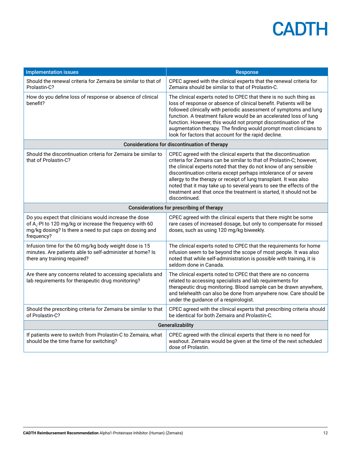| <b>Implementation issues</b>                                                                                                                                                                           | <b>Response</b>                                                                                                                                                                                                                                                                                                                                                                                                                                                                                                    |  |
|--------------------------------------------------------------------------------------------------------------------------------------------------------------------------------------------------------|--------------------------------------------------------------------------------------------------------------------------------------------------------------------------------------------------------------------------------------------------------------------------------------------------------------------------------------------------------------------------------------------------------------------------------------------------------------------------------------------------------------------|--|
| Should the renewal criteria for Zemaira be similar to that of<br>Prolastin-C?                                                                                                                          | CPEC agreed with the clinical experts that the renewal criteria for<br>Zemaira should be similar to that of Prolastin-C.                                                                                                                                                                                                                                                                                                                                                                                           |  |
| How do you define loss of response or absence of clinical<br>benefit?                                                                                                                                  | The clinical experts noted to CPEC that there is no such thing as<br>loss of response or absence of clinical benefit. Patients will be<br>followed clinically with periodic assessment of symptoms and lung<br>function. A treatment failure would be an accelerated loss of lung<br>function. However, this would not prompt discontinuation of the<br>augmentation therapy. The finding would prompt most clinicians to<br>look for factors that account for the rapid decline.                                  |  |
|                                                                                                                                                                                                        | Considerations for discontinuation of therapy                                                                                                                                                                                                                                                                                                                                                                                                                                                                      |  |
| Should the discontinuation criteria for Zemaira be similar to<br>that of Prolastin-C?                                                                                                                  | CPEC agreed with the clinical experts that the discontinuation<br>criteria for Zemaira can be similar to that of Prolastin-C; however,<br>the clinical experts noted that they do not know of any sensible<br>discontinuation criteria except perhaps intolerance of or severe<br>allergy to the therapy or receipt of lung transplant. It was also<br>noted that it may take up to several years to see the effects of the<br>treatment and that once the treatment is started, it should not be<br>discontinued. |  |
| Considerations for prescribing of therapy                                                                                                                                                              |                                                                                                                                                                                                                                                                                                                                                                                                                                                                                                                    |  |
| Do you expect that clinicians would increase the dose<br>of A <sub>1</sub> -PI to 120 mg/kg or increase the frequency with 60<br>mg/kg dosing? Is there a need to put caps on dosing and<br>frequency? | CPEC agreed with the clinical experts that there might be some<br>rare cases of increased dosage, but only to compensate for missed<br>doses, such as using 120 mg/kg biweekly.                                                                                                                                                                                                                                                                                                                                    |  |
| Infusion time for the 60 mg/kg body weight dose is 15<br>minutes. Are patients able to self-administer at home? Is<br>there any training required?                                                     | The clinical experts noted to CPEC that the requirements for home<br>infusion seem to be beyond the scope of most people. It was also<br>noted that while self-administration is possible with training, it is<br>seldom done in Canada.                                                                                                                                                                                                                                                                           |  |
| Are there any concerns related to accessing specialists and<br>lab requirements for therapeutic drug monitoring?                                                                                       | The clinical experts noted to CPEC that there are no concerns<br>related to accessing specialists and lab requirements for<br>therapeutic drug monitoring. Blood sample can be drawn anywhere,<br>and telehealth can also be done from anywhere now. Care should be<br>under the guidance of a respirologist.                                                                                                                                                                                                      |  |
| Should the prescribing criteria for Zemaira be similar to that<br>of Prolastin-C?                                                                                                                      | CPEC agreed with the clinical experts that prescribing criteria should<br>be identical for both Zemaira and Prolastin-C.                                                                                                                                                                                                                                                                                                                                                                                           |  |
| Generalizability                                                                                                                                                                                       |                                                                                                                                                                                                                                                                                                                                                                                                                                                                                                                    |  |
| If patients were to switch from Prolastin-C to Zemaira, what<br>should be the time frame for switching?                                                                                                | CPEC agreed with the clinical experts that there is no need for<br>washout. Zemaira would be given at the time of the next scheduled<br>dose of Prolastin.                                                                                                                                                                                                                                                                                                                                                         |  |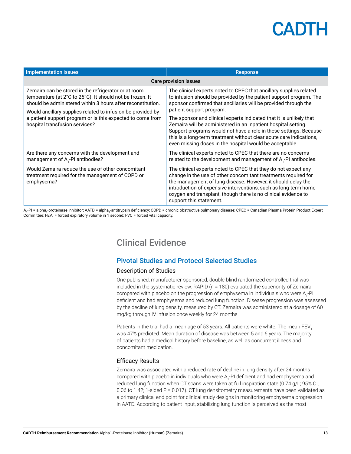| <b>Implementation issues</b>                                                                                                                                                                                                                                                                                                                    | <b>Response</b>                                                                                                                                                                                                                                                                                                                                                                                                                                                                                                                                                                         |
|-------------------------------------------------------------------------------------------------------------------------------------------------------------------------------------------------------------------------------------------------------------------------------------------------------------------------------------------------|-----------------------------------------------------------------------------------------------------------------------------------------------------------------------------------------------------------------------------------------------------------------------------------------------------------------------------------------------------------------------------------------------------------------------------------------------------------------------------------------------------------------------------------------------------------------------------------------|
| Care provision issues                                                                                                                                                                                                                                                                                                                           |                                                                                                                                                                                                                                                                                                                                                                                                                                                                                                                                                                                         |
| Zemaira can be stored in the refrigerator or at room<br>temperature (at 2°C to 25°C). It should not be frozen. It<br>should be administered within 3 hours after reconstitution.<br>Would ancillary supplies related to infusion be provided by<br>a patient support program or is this expected to come from<br>hospital transfusion services? | The clinical experts noted to CPEC that ancillary supplies related<br>to infusion should be provided by the patient support program. The<br>sponsor confirmed that ancillaries will be provided through the<br>patient support program.<br>The sponsor and clinical experts indicated that it is unlikely that<br>Zemaira will be administered in an inpatient hospital setting.<br>Support programs would not have a role in these settings. Because<br>this is a long-term treatment without clear acute care indications,<br>even missing doses in the hospital would be acceptable. |
| Are there any concerns with the development and<br>management of A <sub>1</sub> -PI antibodies?                                                                                                                                                                                                                                                 | The clinical experts noted to CPEC that there are no concerns<br>related to the development and management of A <sub>1</sub> -PI antibodies.                                                                                                                                                                                                                                                                                                                                                                                                                                            |
| Would Zemaira reduce the use of other concomitant<br>treatment required for the management of COPD or<br>emphysema?                                                                                                                                                                                                                             | The clinical experts noted to CPEC that they do not expect any<br>change in the use of other concomitant treatments required for<br>the management of lung disease. However, it should delay the<br>introduction of expensive interventions, such as long-term home<br>oxygen and transplant, though there is no clinical evidence to<br>support this statement.                                                                                                                                                                                                                        |

A<sub>1</sub>-PI = alpha<sub>1</sub>-proteinase inhibitor; AATD = alpha<sub>1</sub>-antitrypsin deficiency; COPD = chronic obstructive pulmonary disease; CPEC = Canadian Plasma Protein Product Expert Committee; FEV<sub>1</sub> = forced expiratory volume in 1 second; FVC = forced vital capacity.

### Clinical Evidence

### Pivotal Studies and Protocol Selected Studies

### Description of Studies

One published, manufacturer-sponsored, double-blind randomized controlled trial was included in the systematic review: RAPID (n = 180) evaluated the superiority of Zemaira compared with placebo on the progression of emphysema in individuals who were A<sub>1</sub>-PI deficient and had emphysema and reduced lung function. Disease progression was assessed by the decline of lung density, measured by CT. Zemaira was administered at a dosage of 60 mg/kg through IV infusion once weekly for 24 months.

Patients in the trial had a mean age of 53 years. All patients were white. The mean FEV, was 47% predicted. Mean duration of disease was between 5 and 6 years. The majority of patients had a medical history before baseline, as well as concurrent illness and concomitant medication.

### Efficacy Results

Zemaira was associated with a reduced rate of decline in lung density after 24 months compared with placebo in individuals who were A<sub>1</sub>-PI deficient and had emphysema and reduced lung function when CT scans were taken at full inspiration state (0.74 g/L; 95% CI, 0.06 to 1.42; 1-sided P = 0.017). CT lung densitometry measurements have been validated as a primary clinical end point for clinical study designs in monitoring emphysema progression in AATD. According to patient input, stabilizing lung function is perceived as the most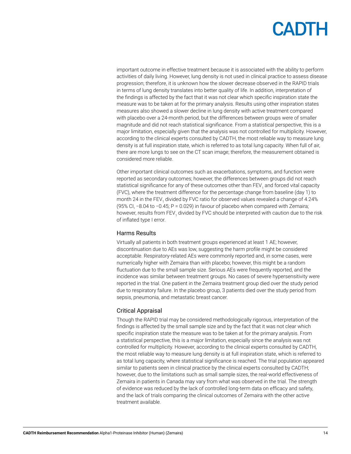important outcome in effective treatment because it is associated with the ability to perform activities of daily living. However, lung density is not used in clinical practice to assess disease progression; therefore, it is unknown how the slower decrease observed in the RAPID trials in terms of lung density translates into better quality of life. In addition, interpretation of the findings is affected by the fact that it was not clear which specific inspiration state the measure was to be taken at for the primary analysis. Results using other inspiration states measures also showed a slower decline in lung density with active treatment compared with placebo over a 24-month period, but the differences between groups were of smaller magnitude and did not reach statistical significance. From a statistical perspective, this is a major limitation, especially given that the analysis was not controlled for multiplicity. However, according to the clinical experts consulted by CADTH, the most reliable way to measure lung density is at full inspiration state, which is referred to as total lung capacity. When full of air, there are more lungs to see on the CT scan image; therefore, the measurement obtained is considered more reliable.

Other important clinical outcomes such as exacerbations, symptoms, and function were reported as secondary outcomes; however, the differences between groups did not reach statistical significance for any of these outcomes other than FEV<sub>1</sub> and forced vital capacity (FVC), where the treatment difference for the percentage change from baseline (day 1) to month 24 in the FEV<sub>1</sub> divided by FVC ratio for observed values revealed a change of 4.24% (95% CI, −8.04 to −0.45; P = 0.029) in favour of placebo when compared with Zemaira; however, results from FEV<sub>1</sub> divided by FVC should be interpreted with caution due to the risk of inflated type I error.

### Harms Results

Virtually all patients in both treatment groups experienced at least 1 AE; however, discontinuation due to AEs was low, suggesting the harm profile might be considered acceptable. Respiratory-related AEs were commonly reported and, in some cases, were numerically higher with Zemaira than with placebo; however, this might be a random fluctuation due to the small sample size. Serious AEs were frequently reported, and the incidence was similar between treatment groups. No cases of severe hypersensitivity were reported in the trial. One patient in the Zemaira treatment group died over the study period due to respiratory failure. In the placebo group, 3 patients died over the study period from sepsis, pneumonia, and metastatic breast cancer.

### Critical Appraisal

Though the RAPID trial may be considered methodologically rigorous, interpretation of the findings is affected by the small sample size and by the fact that it was not clear which specific inspiration state the measure was to be taken at for the primary analysis. From a statistical perspective, this is a major limitation, especially since the analysis was not controlled for multiplicity. However, according to the clinical experts consulted by CADTH, the most reliable way to measure lung density is at full inspiration state, which is referred to as total lung capacity, where statistical significance is reached. The trial population appeared similar to patients seen in clinical practice by the clinical experts consulted by CADTH; however, due to the limitations such as small sample sizes, the real-world effectiveness of Zemaira in patients in Canada may vary from what was observed in the trial. The strength of evidence was reduced by the lack of controlled long-term data on efficacy and safety, and the lack of trials comparing the clinical outcomes of Zemaira with the other active treatment available.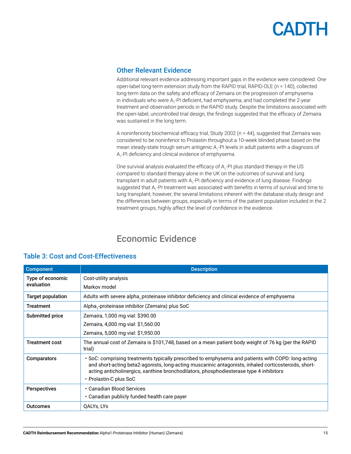### Other Relevant Evidence

Additional relevant evidence addressing important gaps in the evidence were considered. One open-label long-term extension study from the RAPID trial, RAPID-OLE (n = 140), collected long-term data on the safety and efficacy of Zemaira on the progression of emphysema in individuals who were A<sub>1</sub>-PI deficient, had emphysema, and had completed the 2-year treatment and observation periods in the RAPID study. Despite the limitations associated with the open-label, uncontrolled trial design, the findings suggested that the efficacy of Zemaira was sustained in the long term.

A noninferiority biochemical efficacy trial, Study 2002 (n = 44), suggested that Zemaira was considered to be noninferior to Prolastin throughout a 10-week blinded phase based on the mean steady-state trough serum antigenic A<sub>1</sub>-PI levels in adult patients with a diagnosis of A<sub>1</sub>-PI deficiency and clinical evidence of emphysema.

One survival analysis evaluated the efficacy of A<sub>1</sub>-PI plus standard therapy in the US compared to standard therapy alone in the UK on the outcomes of survival and lung transplant in adult patients with A<sub>1</sub>-PI deficiency and evidence of lung disease. Findings suggested that A<sub>1</sub>-PI treatment was associated with benefits in terms of survival and time to lung transplant; however, the several limitations inherent with the database study design and the differences between groups, especially in terms of the patient population included in the 2 treatment groups, highly affect the level of confidence in the evidence.

### Economic Evidence

| <b>Component</b>         | <b>Description</b>                                                                                                                                                                                                                                                                                                             |
|--------------------------|--------------------------------------------------------------------------------------------------------------------------------------------------------------------------------------------------------------------------------------------------------------------------------------------------------------------------------|
| Type of economic         | Cost-utility analysis                                                                                                                                                                                                                                                                                                          |
| evaluation               | Markov model                                                                                                                                                                                                                                                                                                                   |
| <b>Target population</b> | Adults with severe alpha, proteinase inhibitor deficiency and clinical evidence of emphysema                                                                                                                                                                                                                                   |
| <b>Treatment</b>         | Alpha,-proteinase inhibitor (Zemaira) plus SoC                                                                                                                                                                                                                                                                                 |
| Submitted price          | Zemaira, 1,000 mg vial: \$390.00                                                                                                                                                                                                                                                                                               |
|                          | Zemaira, 4,000 mg vial: \$1,560.00                                                                                                                                                                                                                                                                                             |
|                          | Zemaira, 5,000 mg vial: \$1,950.00                                                                                                                                                                                                                                                                                             |
| <b>Treatment cost</b>    | The annual cost of Zemaira is \$101,748, based on a mean patient body weight of 76 kg (per the RAPID<br>trial)                                                                                                                                                                                                                 |
| <b>Comparators</b>       | . SoC: comprising treatments typically prescribed to emphysema and patients with COPD: long-acting<br>and short-acting beta2-agonists, long-acting muscarinic antagonists, inhaled corticosteroids, short-<br>acting anticholinergics, xanthine bronchodilators, phosphodiesterase type 4 inhibitors<br>• Prolastin-C plus SoC |
| <b>Perspectives</b>      | • Canadian Blood Services<br>• Canadian publicly funded health care payer                                                                                                                                                                                                                                                      |
| Outcomes                 | QALYs, LYs                                                                                                                                                                                                                                                                                                                     |

### Table 3: Cost and Cost-Effectiveness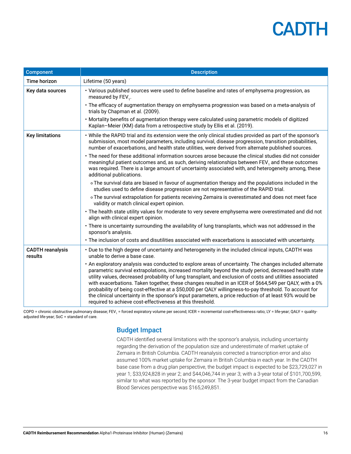| <b>Component</b>                   | <b>Description</b>                                                                                                                                                                                                                                                                                                                                                                                                                                                                                                                                                                                                                                                                                                          |
|------------------------------------|-----------------------------------------------------------------------------------------------------------------------------------------------------------------------------------------------------------------------------------------------------------------------------------------------------------------------------------------------------------------------------------------------------------------------------------------------------------------------------------------------------------------------------------------------------------------------------------------------------------------------------------------------------------------------------------------------------------------------------|
| Time horizon                       | Lifetime (50 years)                                                                                                                                                                                                                                                                                                                                                                                                                                                                                                                                                                                                                                                                                                         |
| Key data sources                   | · Various published sources were used to define baseline and rates of emphysema progression, as<br>measured by FEV <sub>1</sub> .                                                                                                                                                                                                                                                                                                                                                                                                                                                                                                                                                                                           |
|                                    | • The efficacy of augmentation therapy on emphysema progression was based on a meta-analysis of<br>trials by Chapman et al. (2009).                                                                                                                                                                                                                                                                                                                                                                                                                                                                                                                                                                                         |
|                                    | • Mortality benefits of augmentation therapy were calculated using parametric models of digitized<br>Kaplan-Meier (KM) data from a retrospective study by Ellis et al. (2019).                                                                                                                                                                                                                                                                                                                                                                                                                                                                                                                                              |
| <b>Key limitations</b>             | . While the RAPID trial and its extension were the only clinical studies provided as part of the sponsor's<br>submission, most model parameters, including survival, disease progression, transition probabilities,<br>number of exacerbations, and health state utilities, were derived from alternate published sources.                                                                                                                                                                                                                                                                                                                                                                                                  |
|                                    | • The need for these additional information sources arose because the clinical studies did not consider<br>meaningful patient outcomes and, as such, deriving relationships between FEV, and these outcomes<br>was required. There is a large amount of uncertainty associated with, and heterogeneity among, these<br>additional publications.                                                                                                                                                                                                                                                                                                                                                                             |
|                                    | o The survival data are biased in favour of augmentation therapy and the populations included in the<br>studies used to define disease progression are not representative of the RAPID trial.                                                                                                                                                                                                                                                                                                                                                                                                                                                                                                                               |
|                                    | o The survival extrapolation for patients receiving Zemaira is overestimated and does not meet face<br>validity or match clinical expert opinion.                                                                                                                                                                                                                                                                                                                                                                                                                                                                                                                                                                           |
|                                    | • The health state utility values for moderate to very severe emphysema were overestimated and did not<br>align with clinical expert opinion.                                                                                                                                                                                                                                                                                                                                                                                                                                                                                                                                                                               |
|                                    | · There is uncertainty surrounding the availability of lung transplants, which was not addressed in the<br>sponsor's analysis.                                                                                                                                                                                                                                                                                                                                                                                                                                                                                                                                                                                              |
|                                    | · The inclusion of costs and disutilities associated with exacerbations is associated with uncertainty.                                                                                                                                                                                                                                                                                                                                                                                                                                                                                                                                                                                                                     |
| <b>CADTH</b> reanalysis<br>results | • Due to the high degree of uncertainty and heterogeneity in the included clinical inputs, CADTH was<br>unable to derive a base case.                                                                                                                                                                                                                                                                                                                                                                                                                                                                                                                                                                                       |
|                                    | . An exploratory analysis was conducted to explore areas of uncertainty. The changes included alternate<br>parametric survival extrapolations, increased mortality beyond the study period, decreased health state<br>utility values, decreased probability of lung transplant, and exclusion of costs and utilities associated<br>with exacerbations. Taken together, these changes resulted in an ICER of \$664,549 per QALY, with a 0%<br>probability of being cost-effective at a \$50,000 per QALY willingness-to-pay threshold. To account for<br>the clinical uncertainty in the sponsor's input parameters, a price reduction of at least 93% would be<br>required to achieve cost-effectiveness at this threshold. |

COPD = chronic obstructive pulmonary disease; FEV<sub>1</sub> = forced expiratory volume per second; ICER = incremental cost-effectiveness ratio; LY = life-year; QALY = qualityadjusted life-year; SoC = standard of care.

### Budget Impact

CADTH identified several limitations with the sponsor's analysis, including uncertainty regarding the derivation of the population size and underestimate of market uptake of Zemaira in British Columbia. CADTH reanalysis corrected a transcription error and also assumed 100% market uptake for Zemaira in British Columbia in each year. In the CADTH base case from a drug plan perspective, the budget impact is expected to be \$23,729,027 in year 1; \$33,924,828 in year 2; and \$44,046,744 in year 3; with a 3-year total of \$101,700,599, similar to what was reported by the sponsor. The 3-year budget impact from the Canadian Blood Services perspective was \$165,249,851.